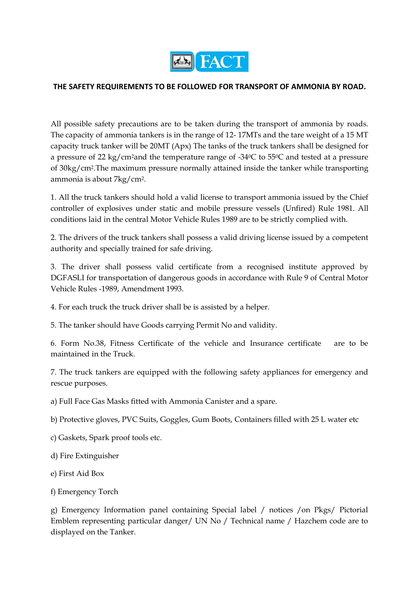

#### **THE SAFETY REQUIREMENTS TO BE FOLLOWED FOR TRANSPORT OF AMMONIA BY ROAD.**

All possible safety precautions are to be taken during the transport of ammonia by roads. The capacity of ammonia tankers is in the range of 12- 17MTs and the tare weight of a 15 MT capacity truck tanker will be 20MT (Apx) The tanks of the truck tankers shall be designed for a pressure of 22 kg/cm2and the temperature range of -340C to 550C and tested at a pressure of 30kg/cm2.The maximum pressure normally attained inside the tanker while transporting ammonia is about 7kg/cm2.

1. All the truck tankers should hold a valid license to transport ammonia issued by the Chief controller of explosives under static and mobile pressure vessels (Unfired) Rule 1981. All conditions laid in the central Motor Vehicle Rules 1989 are to be strictly complied with.

2. The drivers of the truck tankers shall possess a valid driving license issued by a competent authority and specially trained for safe driving.

3. The driver shall possess valid certificate from a recognised institute approved by DGFASLI for transportation of dangerous goods in accordance with Rule 9 of Central Motor Vehicle Rules -1989, Amendment 1993.

4. For each truck the truck driver shall be is assisted by a helper.

5. The tanker should have Goods carrying Permit No and validity.

6. Form No.38, Fitness Certificate of the vehicle and Insurance certificate are to be maintained in the Truck.

7. The truck tankers are equipped with the following safety appliances for emergency and rescue purposes.

a) Full Face Gas Masks fitted with Ammonia Canister and a spare.

b) Protective gloves, PVC Suits, Goggles, Gum Boots, Containers filled with 25 L water etc

c) Gaskets, Spark proof tools etc.

d) Fire Extinguisher

e) First Aid Box

f) Emergency Torch

g) Emergency Information panel containing Special label / notices /on Pkgs/ Pictorial Emblem representing particular danger/ UN No / Technical name / Hazchem code are to displayed on the Tanker.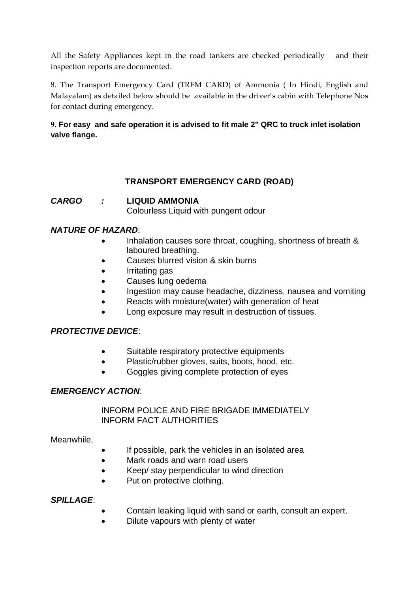All the Safety Appliances kept in the road tankers are checked periodically and their inspection reports are documented.

8. The Transport Emergency Card (TREM CARD) of Ammonia ( In Hindi, English and Malayalam) as detailed below should be available in the driver's cabin with Telephone Nos for contact during emergency.

## **9. For easy and safe operation it is advised to fit male 2" QRC to truck inlet isolation valve flange.**

# **TRANSPORT EMERGENCY CARD (ROAD)**

*CARGO :* **LIQUID AMMONIA**

Colourless Liquid with pungent odour

## *NATURE OF HAZARD*:

- Inhalation causes sore throat, coughing, shortness of breath & laboured breathing.
- Causes blurred vision & skin burns
- Irritating gas
- Causes lung oedema
- Ingestion may cause headache, dizziness, nausea and vomiting
- Reacts with moisture(water) with generation of heat
- Long exposure may result in destruction of tissues.

## *PROTECTIVE DEVICE*:

- Suitable respiratory protective equipments
- Plastic/rubber gloves, suits, boots, hood, etc.
- Goggles giving complete protection of eyes

## *EMERGENCY ACTION*:

INFORM POLICE AND FIRE BRIGADE IMMEDIATELY INFORM FACT AUTHORITIES

Meanwhile,

- If possible, park the vehicles in an isolated area
- Mark roads and warn road users
- Keep/ stay perpendicular to wind direction
- Put on protective clothing.

## *SPILLAGE*:

- Contain leaking liquid with sand or earth, consult an expert.
- Dilute vapours with plenty of water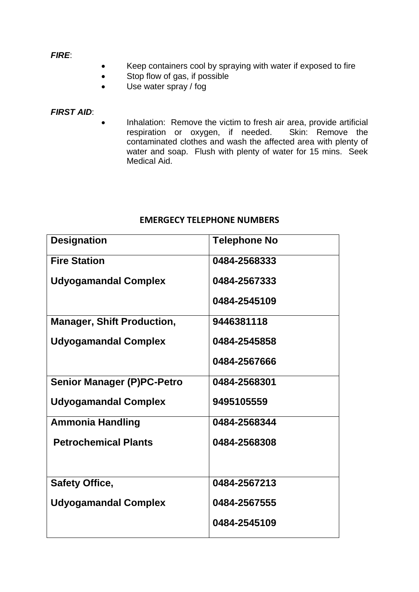#### *FIRE*:

- Keep containers cool by spraying with water if exposed to fire
- Stop flow of gas, if possible
- Use water spray / fog

#### *FIRST AID*:

 Inhalation: Remove the victim to fresh air area, provide artificial respiration or oxygen, if needed. Skin: Remove the contaminated clothes and wash the affected area with plenty of water and soap. Flush with plenty of water for 15 mins. Seek Medical Aid.

#### **EMERGECY TELEPHONE NUMBERS**

| <b>Designation</b>                | <b>Telephone No</b> |
|-----------------------------------|---------------------|
| <b>Fire Station</b>               | 0484-2568333        |
| <b>Udyogamandal Complex</b>       | 0484-2567333        |
|                                   | 0484-2545109        |
| <b>Manager, Shift Production,</b> | 9446381118          |
| <b>Udyogamandal Complex</b>       | 0484-2545858        |
|                                   | 0484-2567666        |
| <b>Senior Manager (P)PC-Petro</b> | 0484-2568301        |
| <b>Udyogamandal Complex</b>       | 9495105559          |
| <b>Ammonia Handling</b>           | 0484-2568344        |
| <b>Petrochemical Plants</b>       | 0484-2568308        |
|                                   |                     |
| <b>Safety Office,</b>             | 0484-2567213        |
| <b>Udyogamandal Complex</b>       | 0484-2567555        |
|                                   | 0484-2545109        |